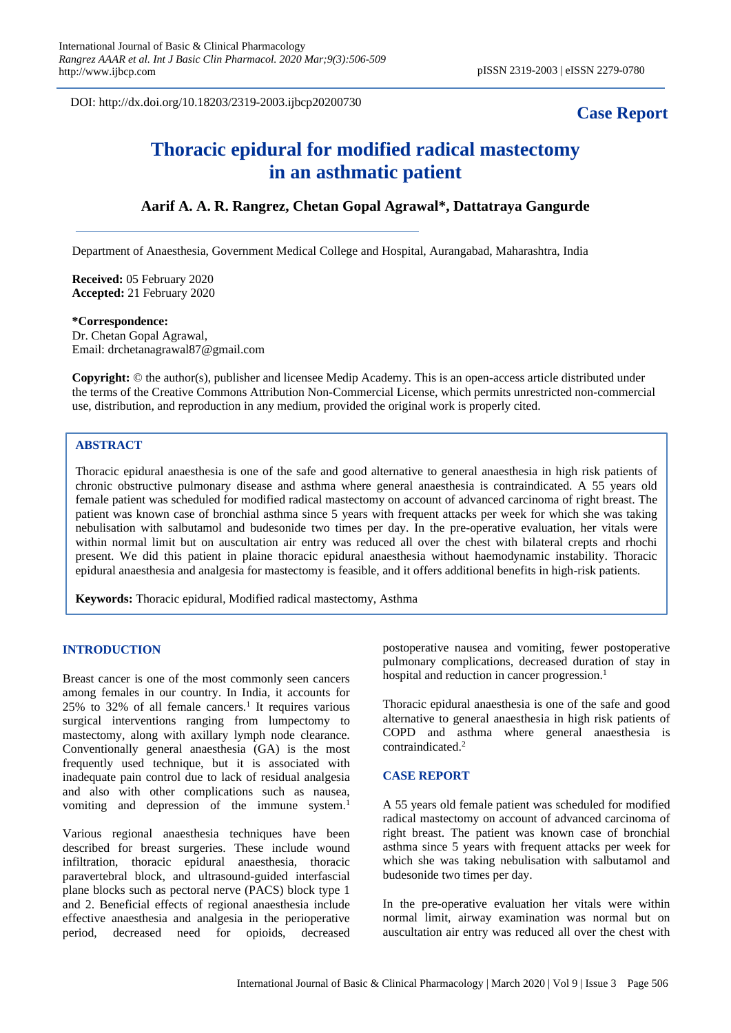DOI: http://dx.doi.org/10.18203/2319-2003.ijbcp20200730

## **Case Report**

# **Thoracic epidural for modified radical mastectomy in an asthmatic patient**

### **Aarif A. A. R. Rangrez, Chetan Gopal Agrawal\*, Dattatraya Gangurde**

Department of Anaesthesia, Government Medical College and Hospital, Aurangabad, Maharashtra, India

**Received:** 05 February 2020 **Accepted:** 21 February 2020

#### **\*Correspondence:**

Dr. Chetan Gopal Agrawal, Email: drchetanagrawal87@gmail.com

**Copyright:** © the author(s), publisher and licensee Medip Academy. This is an open-access article distributed under the terms of the Creative Commons Attribution Non-Commercial License, which permits unrestricted non-commercial use, distribution, and reproduction in any medium, provided the original work is properly cited.

#### **ABSTRACT**

Thoracic epidural anaesthesia is one of the safe and good alternative to general anaesthesia in high risk patients of chronic obstructive pulmonary disease and asthma where general anaesthesia is contraindicated. A 55 years old female patient was scheduled for modified radical mastectomy on account of advanced carcinoma of right breast. The patient was known case of bronchial asthma since 5 years with frequent attacks per week for which she was taking nebulisation with salbutamol and budesonide two times per day. In the pre-operative evaluation, her vitals were within normal limit but on auscultation air entry was reduced all over the chest with bilateral crepts and rhochi present. We did this patient in plaine thoracic epidural anaesthesia without haemodynamic instability. Thoracic epidural anaesthesia and analgesia for mastectomy is feasible, and it offers additional benefits in high-risk patients.

**Keywords:** Thoracic epidural, Modified radical mastectomy, Asthma

#### **INTRODUCTION**

Breast cancer is one of the most commonly seen cancers among females in our country. In India, it accounts for  $25\%$  to  $32\%$  of all female cancers.<sup>1</sup> It requires various surgical interventions ranging from lumpectomy to mastectomy, along with axillary lymph node clearance. Conventionally general anaesthesia (GA) is the most frequently used technique, but it is associated with inadequate pain control due to lack of residual analgesia and also with other complications such as nausea, vomiting and depression of the immune system.<sup>1</sup>

Various regional anaesthesia techniques have been described for breast surgeries. These include wound infiltration, thoracic epidural anaesthesia, thoracic paravertebral block, and ultrasound-guided interfascial plane blocks such as pectoral nerve (PACS) block type 1 and 2. Beneficial effects of regional anaesthesia include effective anaesthesia and analgesia in the perioperative period, decreased need for opioids, decreased

postoperative nausea and vomiting, fewer postoperative pulmonary complications, decreased duration of stay in hospital and reduction in cancer progression.<sup>1</sup>

Thoracic epidural anaesthesia is one of the safe and good alternative to general anaesthesia in high risk patients of COPD and asthma where general anaesthesia is contraindicated. 2

#### **CASE REPORT**

A 55 years old female patient was scheduled for modified radical mastectomy on account of advanced carcinoma of right breast. The patient was known case of bronchial asthma since 5 years with frequent attacks per week for which she was taking nebulisation with salbutamol and budesonide two times per day.

In the pre-operative evaluation her vitals were within normal limit, airway examination was normal but on auscultation air entry was reduced all over the chest with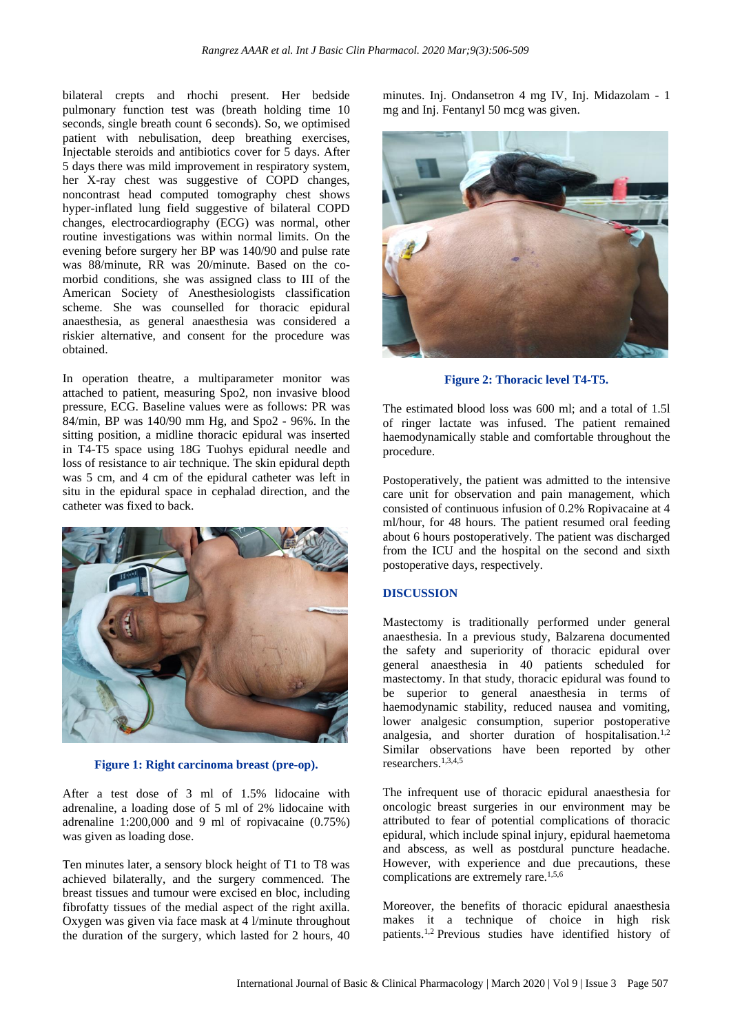bilateral crepts and rhochi present. Her bedside pulmonary function test was (breath holding time 10 seconds, single breath count 6 seconds). So, we optimised patient with nebulisation, deep breathing exercises, Injectable steroids and antibiotics cover for 5 days. After 5 days there was mild improvement in respiratory system, her X-ray chest was suggestive of COPD changes, noncontrast head computed tomography chest shows hyper-inflated lung field suggestive of bilateral COPD changes, electrocardiography (ECG) was normal, other routine investigations was within normal limits. On the evening before surgery her BP was 140/90 and pulse rate was 88/minute, RR was 20/minute. Based on the comorbid conditions, she was assigned class to III of the American Society of Anesthesiologists classification scheme. She was counselled for thoracic epidural anaesthesia, as general anaesthesia was considered a riskier alternative, and consent for the procedure was obtained.

In operation theatre, a multiparameter monitor was attached to patient, measuring Spo2, non invasive blood pressure, ECG. Baseline values were as follows: PR was 84/min, BP was 140/90 mm Hg, and Spo2 - 96%. In the sitting position, a midline thoracic epidural was inserted in T4-T5 space using 18G Tuohys epidural needle and loss of resistance to air technique. The skin epidural depth was 5 cm, and 4 cm of the epidural catheter was left in situ in the epidural space in cephalad direction, and the catheter was fixed to back.



**Figure 1: Right carcinoma breast (pre-op).** 

After a test dose of 3 ml of 1.5% lidocaine with adrenaline, a loading dose of 5 ml of 2% lidocaine with adrenaline 1:200,000 and 9 ml of ropivacaine (0.75%) was given as loading dose.

Ten minutes later, a sensory block height of T1 to T8 was achieved bilaterally, and the surgery commenced. The breast tissues and tumour were excised en bloc, including fibrofatty tissues of the medial aspect of the right axilla. Oxygen was given via face mask at 4 l/minute throughout the duration of the surgery, which lasted for 2 hours, 40

minutes. Inj. Ondansetron 4 mg IV, Inj. Midazolam - 1 mg and Inj. Fentanyl 50 mcg was given.



**Figure 2: Thoracic level T4-T5.**

The estimated blood loss was 600 ml; and a total of 1.5l of ringer lactate was infused. The patient remained haemodynamically stable and comfortable throughout the procedure.

Postoperatively, the patient was admitted to the intensive care unit for observation and pain management, which consisted of continuous infusion of 0.2% Ropivacaine at 4 ml/hour, for 48 hours. The patient resumed oral feeding about 6 hours postoperatively. The patient was discharged from the ICU and the hospital on the second and sixth postoperative days, respectively.

#### **DISCUSSION**

Mastectomy is traditionally performed under general anaesthesia. In a previous study, Balzarena documented the safety and superiority of thoracic epidural over general anaesthesia in 40 patients scheduled for mastectomy. In that study, thoracic epidural was found to be superior to general anaesthesia in terms of haemodynamic stability, reduced nausea and vomiting, lower analgesic consumption, superior postoperative analgesia, and shorter duration of hospitalisation.<sup>1,2</sup> Similar observations have been reported by other researchers.1,3,4,5

The infrequent use of thoracic epidural anaesthesia for oncologic breast surgeries in our environment may be attributed to fear of potential complications of thoracic epidural, which include spinal injury, epidural haemetoma and abscess, as well as postdural puncture headache. However, with experience and due precautions, these complications are extremely rare.1,5,6

Moreover, the benefits of thoracic epidural anaesthesia makes it a technique of choice in high risk patients.1,2 Previous studies have identified history of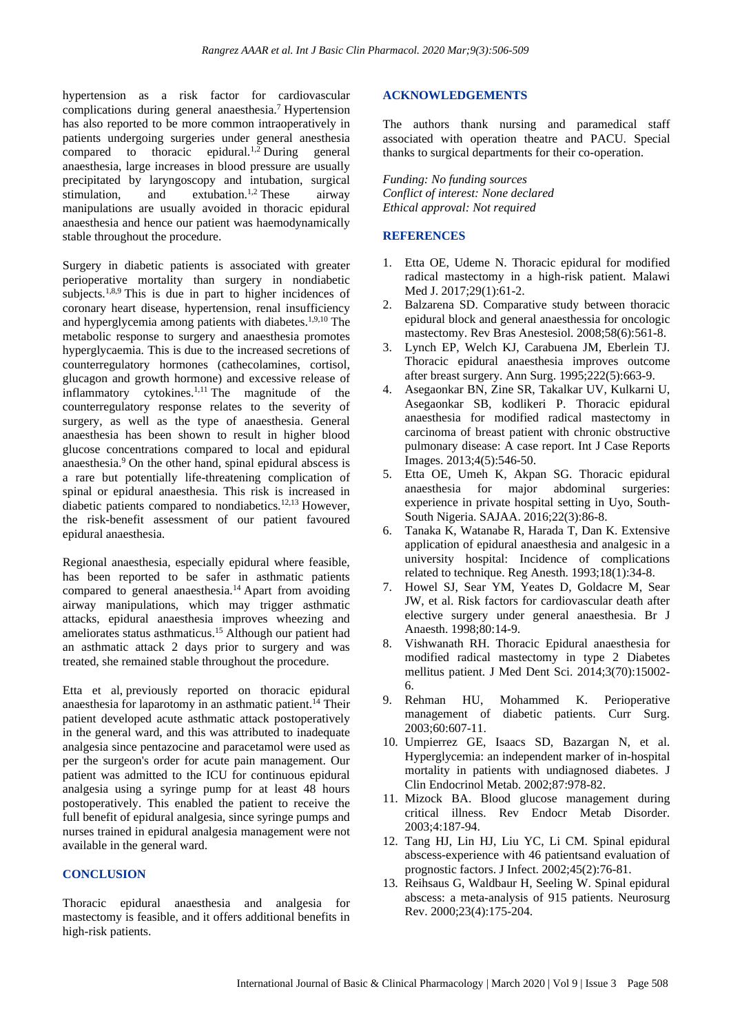hypertension as a risk factor for cardiovascular complications during general anaesthesia.<sup>7</sup> Hypertension has also reported to be more common intraoperatively in patients undergoing surgeries under general anesthesia compared to thoracic epidural.<sup>1,2</sup> During general anaesthesia, large increases in blood pressure are usually precipitated by laryngoscopy and intubation, surgical stimulation, and extubation.<sup>1,2</sup> These airway manipulations are usually avoided in thoracic epidural anaesthesia and hence our patient was haemodynamically stable throughout the procedure.

Surgery in diabetic patients is associated with greater perioperative mortality than surgery in nondiabetic subjects.<sup>1,8,9</sup> This is due in part to higher incidences of coronary heart disease, hypertension, renal insufficiency and hyperglycemia among patients with diabetes.<sup>1,9,10</sup> The metabolic response to surgery and anaesthesia promotes hyperglycaemia. This is due to the increased secretions of counterregulatory hormones (cathecolamines, cortisol, glucagon and growth hormone) and excessive release of inflammatory cytokines. $1,11$  The magnitude of the counterregulatory response relates to the severity of surgery, as well as the type of anaesthesia. General anaesthesia has been shown to result in higher blood glucose concentrations compared to local and epidural anaesthesia.<sup>9</sup> On the other hand, spinal epidural abscess is a rare but potentially life-threatening complication of spinal or epidural anaesthesia. This risk is increased in diabetic patients compared to nondiabetics.12,13 However, the risk-benefit assessment of our patient favoured epidural anaesthesia.

Regional anaesthesia, especially epidural where feasible, has been reported to be safer in asthmatic patients compared to general anaesthesia.<sup>14</sup> Apart from avoiding airway manipulations, which may trigger asthmatic attacks, epidural anaesthesia improves wheezing and ameliorates status asthmaticus.<sup>15</sup> Although our patient had an asthmatic attack 2 days prior to surgery and was treated, she remained stable throughout the procedure.

Etta et al, previously reported on thoracic epidural anaesthesia for laparotomy in an asthmatic patient.<sup>14</sup> Their patient developed acute asthmatic attack postoperatively in the general ward, and this was attributed to inadequate analgesia since pentazocine and paracetamol were used as per the surgeon's order for acute pain management. Our patient was admitted to the ICU for continuous epidural analgesia using a syringe pump for at least 48 hours postoperatively. This enabled the patient to receive the full benefit of epidural analgesia, since syringe pumps and nurses trained in epidural analgesia management were not available in the general ward.

#### **CONCLUSION**

Thoracic epidural anaesthesia and analgesia for mastectomy is feasible, and it offers additional benefits in high-risk patients.

#### **ACKNOWLEDGEMENTS**

The authors thank nursing and paramedical staff associated with operation theatre and PACU. Special thanks to surgical departments for their co-operation.

*Funding: No funding sources Conflict of interest: None declared Ethical approval: Not required*

#### **REFERENCES**

- 1. Etta OE, Udeme N. Thoracic epidural for modified radical mastectomy in a high-risk patient. Malawi Med J. 2017;29(1):61-2.
- 2. Balzarena SD. Comparative study between thoracic epidural block and general anaesthessia for oncologic mastectomy. Rev Bras Anestesiol. 2008;58(6):561-8.
- 3. Lynch EP, Welch KJ, Carabuena JM, Eberlein TJ. Thoracic epidural anaesthesia improves outcome after breast surgery. Ann Surg. 1995;222(5):663-9.
- 4. Asegaonkar BN, Zine SR, Takalkar UV, Kulkarni U, Asegaonkar SB, kodlikeri P. Thoracic epidural anaesthesia for modified radical mastectomy in carcinoma of breast patient with chronic obstructive pulmonary disease: A case report. Int J Case Reports Images. 2013;4(5):546-50.
- 5. Etta OE, Umeh K, Akpan SG. Thoracic epidural anaesthesia for major abdominal surgeries: experience in private hospital setting in Uyo, South-South Nigeria. SAJAA. 2016;22(3):86-8.
- 6. Tanaka K, Watanabe R, Harada T, Dan K. Extensive application of epidural anaesthesia and analgesic in a university hospital: Incidence of complications related to technique. Reg Anesth. 1993;18(1):34-8.
- 7. Howel SJ, Sear YM, Yeates D, Goldacre M, Sear JW, et al. Risk factors for cardiovascular death after elective surgery under general anaesthesia. Br J Anaesth. 1998;80:14-9.
- 8. Vishwanath RH. Thoracic Epidural anaesthesia for modified radical mastectomy in type 2 Diabetes mellitus patient. J Med Dent Sci. 2014;3(70):15002- 6.
- 9. Rehman HU, Mohammed K. Perioperative management of diabetic patients. Curr Surg. 2003;60:607-11.
- 10. Umpierrez GE, Isaacs SD, Bazargan N, et al. Hyperglycemia: an independent marker of in-hospital mortality in patients with undiagnosed diabetes. J Clin Endocrinol Metab. 2002;87:978-82.
- 11. Mizock BA. Blood glucose management during critical illness. Rev Endocr Metab Disorder. 2003;4:187-94.
- 12. Tang HJ, Lin HJ, Liu YC, Li CM. Spinal epidural abscess-experience with 46 patientsand evaluation of prognostic factors. J Infect. 2002;45(2):76-81.
- 13. Reihsaus G, Waldbaur H, Seeling W. Spinal epidural abscess: a meta-analysis of 915 patients. Neurosurg Rev. 2000;23(4):175-204.